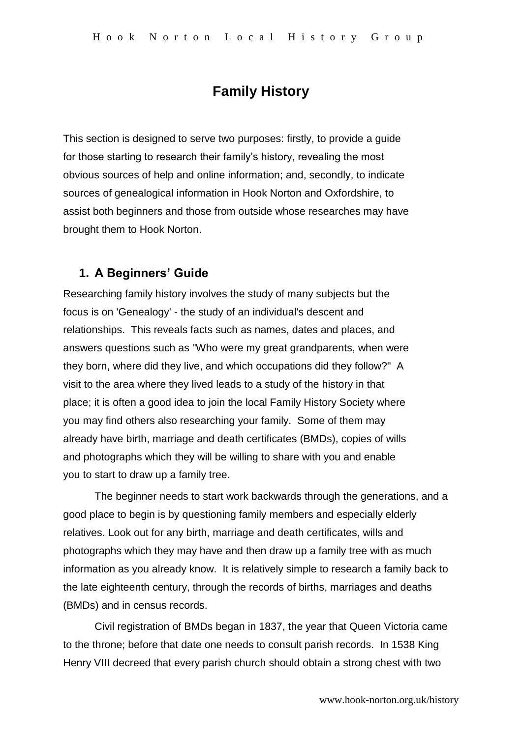# **Family History**

This section is designed to serve two purposes: firstly, to provide a guide for those starting to research their family's history, revealing the most obvious sources of help and online information; and, secondly, to indicate sources of genealogical information in Hook Norton and Oxfordshire, to assist both beginners and those from outside whose researches may have brought them to Hook Norton.

## **1. A Beginners' Guide**

Researching family history involves the study of many subjects but the focus is on 'Genealogy' - the study of an individual's descent and relationships. This reveals facts such as names, dates and places, and answers questions such as "Who were my great grandparents, when were they born, where did they live, and which occupations did they follow?" A visit to the area where they lived leads to a study of the history in that place; it is often a good idea to join the local Family History Society where you may find others also researching your family. Some of them may already have birth, marriage and death certificates (BMDs), copies of wills and photographs which they will be willing to share with you and enable you to start to draw up a family tree.

The beginner needs to start work backwards through the generations, and a good place to begin is by questioning family members and especially elderly relatives. Look out for any birth, marriage and death certificates, wills and photographs which they may have and then draw up a family tree with as much information as you already know. It is relatively simple to research a family back to the late eighteenth century, through the records of births, marriages and deaths (BMDs) and in census records.

Civil registration of BMDs began in 1837, the year that Queen Victoria came to the throne; before that date one needs to consult parish records. In 1538 King Henry VIII decreed that every parish church should obtain a strong chest with two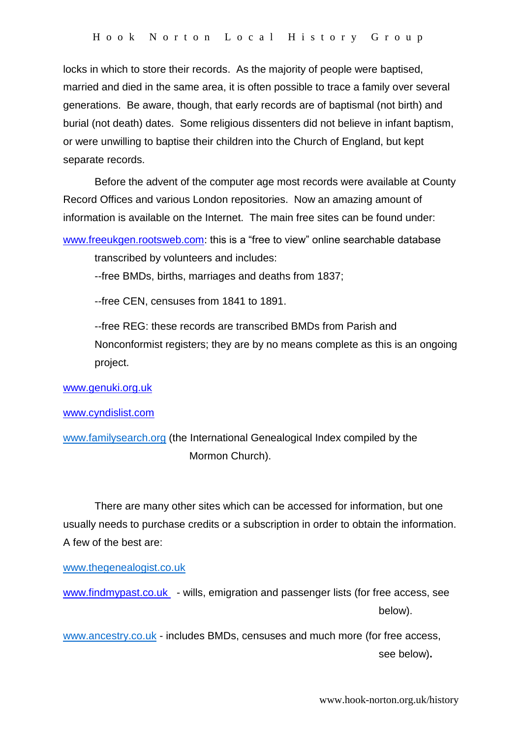locks in which to store their records. As the majority of people were baptised, married and died in the same area, it is often possible to trace a family over several generations. Be aware, though, that early records are of baptismal (not birth) and burial (not death) dates. Some religious dissenters did not believe in infant baptism, or were unwilling to baptise their children into the Church of England, but kept separate records.

Before the advent of the computer age most records were available at County Record Offices and various London repositories. Now an amazing amount of information is available on the Internet. The main free sites can be found under:

[www.freeukgen.rootsweb.com:](http://www.freeukgen.rootsweb.com/) this is a "free to view" online searchable database

transcribed by volunteers and includes:

--free BMDs, births, marriages and deaths from 1837;

--free CEN, censuses from 1841 to 1891.

--free REG: these records are transcribed BMDs from Parish and Nonconformist registers; they are by no means complete as this is an ongoing project.

[www.genuki.org.uk](http://www.genuki.org.uk/)

#### [www.cyndislist.com](http://www.cyndislist.com/)

[www.familysearch.org](http://www.familysearch.org/) (the International Genealogical Index compiled by the Mormon Church).

There are many other sites which can be accessed for information, but one usually needs to purchase credits or a subscription in order to obtain the information. A few of the best are:

[www.thegenealogist.co.uk](http://www.thegenealogist.co.uk/)

www.findmypast.co.uk - wills, emigration and passenger lists (for free access, see below).

[www.ancestry.co.uk](http://www.ancestry.co.uk/) - includes BMDs, censuses and much more (for free access, see below)**.**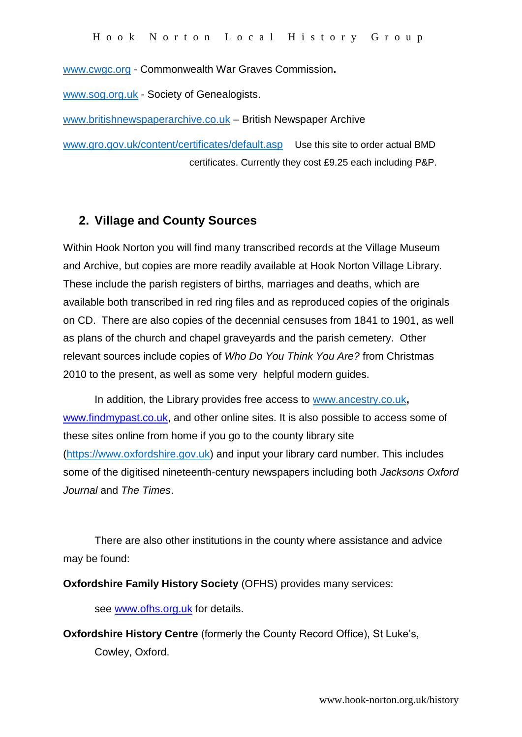[www.cwgc.org](http://www.cwgc.org/) - Commonwealth War Graves Commission**.**

[www.sog.org.uk](http://www.sog.org.uk/) - Society of Genealogists.

[www.britishnewspaperarchive.co.uk](http://www.britishnewspaperarchive.co.uk/) – British Newspaper Archive

[www.gro.gov.uk/content/certificates/default.asp](http://www.gro.gov.uk/content/cerificates/fefault.asp)Use this site to order actual BMD certificates. Currently they cost £9.25 each including P&P.

#### **2. Village and County Sources**

Within Hook Norton you will find many transcribed records at the Village Museum and Archive, but copies are more readily available at Hook Norton Village Library. These include the parish registers of births, marriages and deaths, which are available both transcribed in red ring files and as reproduced copies of the originals on CD. There are also copies of the decennial censuses from 1841 to 1901, as well as plans of the church and chapel graveyards and the parish cemetery. Other relevant sources include copies of *Who Do You Think You Are?* from Christmas 2010 to the present, as well as some very helpful modern guides.

In addition, the Library provides free access to [www.ancestry.co.uk](http://www.ancestry.co.uk/)**,**  [www.findmypast.co.uk,](http://www.findmypast.co.uk/) and other online sites. It is also possible to access some of these sites online from home if you go to the county library site [\(https://www.oxfordshire.gov.uk\)](https://www.oxfordshire.gov.uk/) and input your library card number. This includes some of the digitised nineteenth-century newspapers including both *Jacksons Oxford Journal* and *The Times*.

There are also other institutions in the county where assistance and advice may be found:

**Oxfordshire Family History Society** (OFHS) provides many services:

see [www.ofhs.org.uk](http://www.ofhs.org.uk/) for details.

**Oxfordshire History Centre** (formerly the County Record Office), St Luke's, Cowley, Oxford.